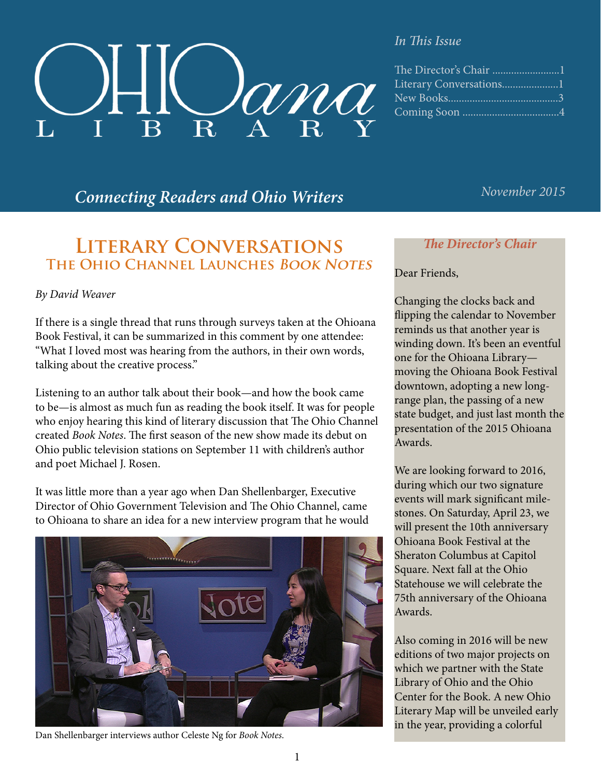

#### *In This Issue*

| Literary Conversations1 |  |
|-------------------------|--|
|                         |  |
|                         |  |
|                         |  |

# *November 2015 Connecting Readers and Ohio Writers*

# **Literary Conversations The Ohio Channel Launches Book Notes**

#### *By David Weaver*

If there is a single thread that runs through surveys taken at the Ohioana Book Festival, it can be summarized in this comment by one attendee: "What I loved most was hearing from the authors, in their own words, talking about the creative process."

Listening to an author talk about their book—and how the book came to be—is almost as much fun as reading the book itself. It was for people who enjoy hearing this kind of literary discussion that The Ohio Channel created *Book Notes*. The first season of the new show made its debut on Ohio public television stations on September 11 with children's author and poet Michael J. Rosen.

It was little more than a year ago when Dan Shellenbarger, Executive Director of Ohio Government Television and The Ohio Channel, came to Ohioana to share an idea for a new interview program that he would



Dan Shellenbarger interviews author Celeste Ng for *Book Notes*.

### *The Director's Chair*

#### Dear Friends,

Changing the clocks back and flipping the calendar to November reminds us that another year is winding down. It's been an eventful one for the Ohioana Library moving the Ohioana Book Festival downtown, adopting a new longrange plan, the passing of a new state budget, and just last month the presentation of the 2015 Ohioana Awards.

We are looking forward to 2016, during which our two signature events will mark significant milestones. On Saturday, April 23, we will present the 10th anniversary Ohioana Book Festival at the Sheraton Columbus at Capitol Square. Next fall at the Ohio Statehouse we will celebrate the 75th anniversary of the Ohioana Awards.

Also coming in 2016 will be new editions of two major projects on which we partner with the State Library of Ohio and the Ohio Center for the Book. A new Ohio Literary Map will be unveiled early in the year, providing a colorful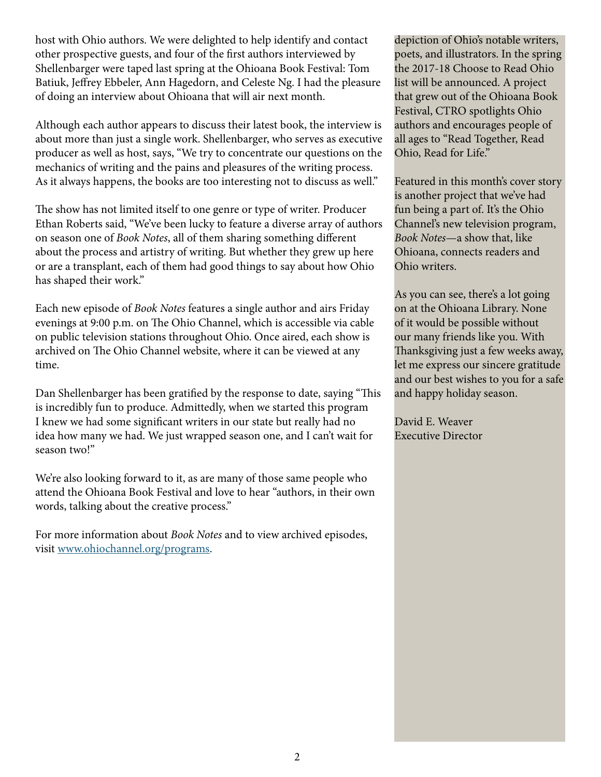host with Ohio authors. We were delighted to help identify and contact other prospective guests, and four of the first authors interviewed by Shellenbarger were taped last spring at the Ohioana Book Festival: Tom Batiuk, Jeffrey Ebbeler, Ann Hagedorn, and Celeste Ng. I had the pleasure of doing an interview about Ohioana that will air next month.

Although each author appears to discuss their latest book, the interview is about more than just a single work. Shellenbarger, who serves as executive producer as well as host, says, "We try to concentrate our questions on the mechanics of writing and the pains and pleasures of the writing process. As it always happens, the books are too interesting not to discuss as well."

The show has not limited itself to one genre or type of writer. Producer Ethan Roberts said, "We've been lucky to feature a diverse array of authors on season one of *Book Notes*, all of them sharing something different about the process and artistry of writing. But whether they grew up here or are a transplant, each of them had good things to say about how Ohio has shaped their work."

Each new episode of *Book Notes* features a single author and airs Friday evenings at 9:00 p.m. on The Ohio Channel, which is accessible via cable on public television stations throughout Ohio. Once aired, each show is archived on The Ohio Channel website, where it can be viewed at any time.

Dan Shellenbarger has been gratified by the response to date, saying "This is incredibly fun to produce. Admittedly, when we started this program I knew we had some significant writers in our state but really had no idea how many we had. We just wrapped season one, and I can't wait for season two!"

We're also looking forward to it, as are many of those same people who attend the Ohioana Book Festival and love to hear "authors, in their own words, talking about the creative process."

For more information about *Book Notes* and to view archived episodes, visit [www.ohiochannel.org/programs.](http://www.ohiochannel.org/programs)

depiction of Ohio's notable writers, poets, and illustrators. In the spring the 2017-18 Choose to Read Ohio list will be announced. A project that grew out of the Ohioana Book Festival, CTRO spotlights Ohio authors and encourages people of all ages to "Read Together, Read Ohio, Read for Life."

Featured in this month's cover story is another project that we've had fun being a part of. It's the Ohio Channel's new television program, *Book Notes*—a show that, like Ohioana, connects readers and Ohio writers.

As you can see, there's a lot going on at the Ohioana Library. None of it would be possible without our many friends like you. With Thanksgiving just a few weeks away, let me express our sincere gratitude and our best wishes to you for a safe and happy holiday season.

David E. Weaver Executive Director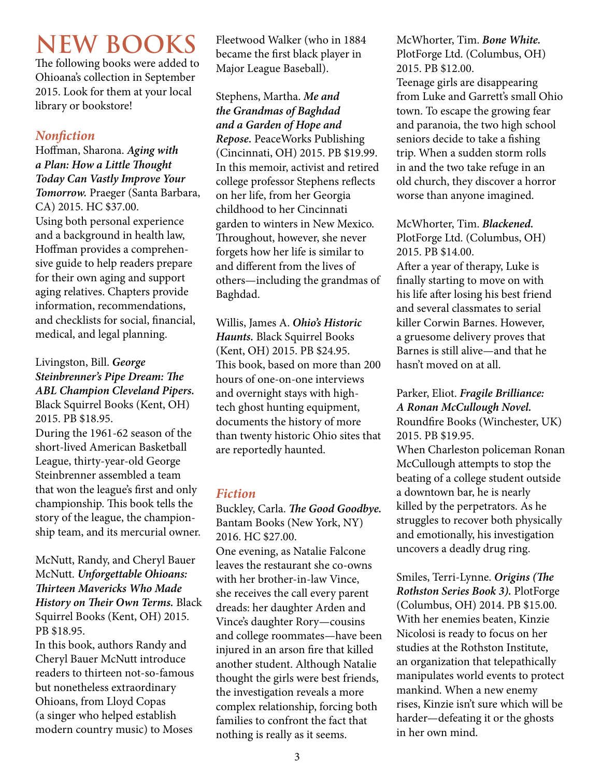# **NEW BOOKS**

The following books were added to Ohioana's collection in September 2015. Look for them at your local library or bookstore!

# *Nonfiction*

Hoffman, Sharona. *Aging with a Plan: How a Little Thought Today Can Vastly Improve Your Tomorrow.* Praeger (Santa Barbara, CA) 2015. HC \$37.00. Using both personal experience and a background in health law, Hoffman provides a comprehensive guide to help readers prepare for their own aging and support aging relatives. Chapters provide information, recommendations, and checklists for social, financial, medical, and legal planning.

### Livingston, Bill. *George Steinbrenner's Pipe Dream: The ABL Champion Cleveland Pipers.*  Black Squirrel Books (Kent, OH) 2015. PB \$18.95.

During the 1961-62 season of the short-lived American Basketball League, thirty-year-old George Steinbrenner assembled a team that won the league's first and only championship. This book tells the story of the league, the championship team, and its mercurial owner.

McNutt, Randy, and Cheryl Bauer McNutt. *Unforgettable Ohioans: Thirteen Mavericks Who Made History on Their Own Terms.* Black Squirrel Books (Kent, OH) 2015. PB \$18.95.

In this book, authors Randy and Cheryl Bauer McNutt introduce readers to thirteen not-so-famous but nonetheless extraordinary Ohioans, from Lloyd Copas (a singer who helped establish modern country music) to Moses

Fleetwood Walker (who in 1884 became the first black player in Major League Baseball).

Stephens, Martha. *Me and the Grandmas of Baghdad and a Garden of Hope and Repose.* PeaceWorks Publishing (Cincinnati, OH) 2015. PB \$19.99. In this memoir, activist and retired college professor Stephens reflects on her life, from her Georgia childhood to her Cincinnati garden to winters in New Mexico. Throughout, however, she never forgets how her life is similar to and different from the lives of others—including the grandmas of Baghdad.

Willis, James A. *Ohio's Historic Haunts.* Black Squirrel Books (Kent, OH) 2015. PB \$24.95. This book, based on more than 200 hours of one-on-one interviews and overnight stays with hightech ghost hunting equipment, documents the history of more than twenty historic Ohio sites that are reportedly haunted.

# *Fiction*

Buckley, Carla. *The Good Goodbye.*  Bantam Books (New York, NY) 2016. HC \$27.00. One evening, as Natalie Falcone leaves the restaurant she co-owns with her brother-in-law Vince, she receives the call every parent dreads: her daughter Arden and Vince's daughter Rory—cousins and college roommates—have been injured in an arson fire that killed another student. Although Natalie thought the girls were best friends, the investigation reveals a more complex relationship, forcing both families to confront the fact that nothing is really as it seems.

McWhorter, Tim. *Bone White.* PlotForge Ltd. (Columbus, OH) 2015. PB \$12.00.

Teenage girls are disappearing from Luke and Garrett's small Ohio town. To escape the growing fear and paranoia, the two high school seniors decide to take a fishing trip. When a sudden storm rolls in and the two take refuge in an old church, they discover a horror worse than anyone imagined.

McWhorter, Tim. *Blackened.* PlotForge Ltd. (Columbus, OH) 2015. PB \$14.00.

After a year of therapy, Luke is finally starting to move on with his life after losing his best friend and several classmates to serial killer Corwin Barnes. However, a gruesome delivery proves that Barnes is still alive—and that he hasn't moved on at all.

Parker, Eliot. *Fragile Brilliance: A Ronan McCullough Novel.* Roundfire Books (Winchester, UK) 2015. PB \$19.95. When Charleston policeman Ronan McCullough attempts to stop the beating of a college student outside a downtown bar, he is nearly killed by the perpetrators. As he struggles to recover both physically and emotionally, his investigation uncovers a deadly drug ring.

Smiles, Terri-Lynne. *Origins (The Rothston Series Book 3).* PlotForge (Columbus, OH) 2014. PB \$15.00. With her enemies beaten, Kinzie Nicolosi is ready to focus on her studies at the Rothston Institute, an organization that telepathically manipulates world events to protect mankind. When a new enemy rises, Kinzie isn't sure which will be harder—defeating it or the ghosts in her own mind.